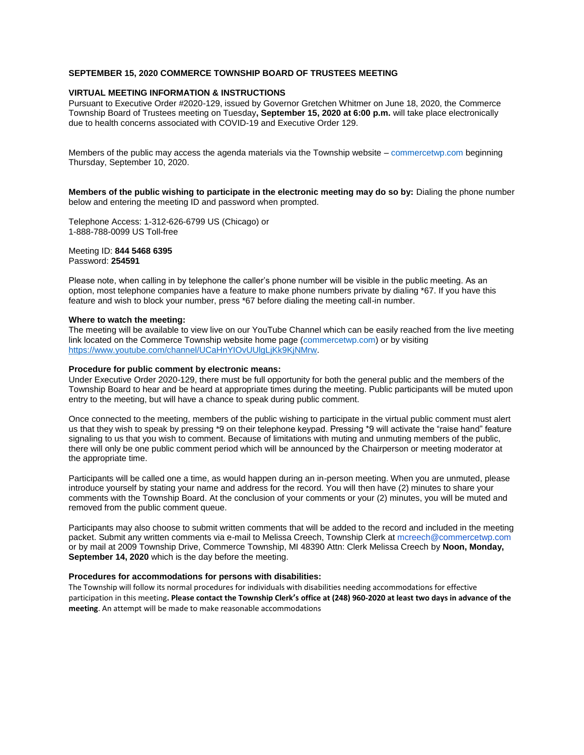### **SEPTEMBER 15, 2020 COMMERCE TOWNSHIP BOARD OF TRUSTEES MEETING**

### **VIRTUAL MEETING INFORMATION & INSTRUCTIONS**

Pursuant to Executive Order #2020-129, issued by Governor Gretchen Whitmer on June 18, 2020, the Commerce Township Board of Trustees meeting on Tuesday**, September 15, 2020 at 6:00 p.m.** will take place electronically due to health concerns associated with COVID-19 and Executive Order 129.

Members of the public may access the agenda materials via the Township website – commercetwp.com beginning Thursday, September 10, 2020.

**Members of the public wishing to participate in the electronic meeting may do so by:** Dialing the phone number below and entering the meeting ID and password when prompted.

Telephone Access: 1-312-626-6799 US (Chicago) or 1-888-788-0099 US Toll-free

#### Meeting ID: **844 5468 6395** Password: **254591**

Please note, when calling in by telephone the caller's phone number will be visible in the public meeting. As an option, most telephone companies have a feature to make phone numbers private by dialing \*67. If you have this feature and wish to block your number, press \*67 before dialing the meeting call-in number.

#### **Where to watch the meeting:**

The meeting will be available to view live on our YouTube Channel which can be easily reached from the live meeting link located on the Commerce Township website home page (commercetwp.com) or by visiting [https://www.youtube.com/channel/UCaHnYIOvUUlgLjKk9KjNMrw.](https://www.youtube.com/channel/UCaHnYIOvUUlgLjKk9KjNMrw) 

### **Procedure for public comment by electronic means:**

Under Executive Order 2020-129, there must be full opportunity for both the general public and the members of the Township Board to hear and be heard at appropriate times during the meeting. Public participants will be muted upon entry to the meeting, but will have a chance to speak during public comment.

Once connected to the meeting, members of the public wishing to participate in the virtual public comment must alert us that they wish to speak by pressing \*9 on their telephone keypad. Pressing \*9 will activate the "raise hand" feature signaling to us that you wish to comment. Because of limitations with muting and unmuting members of the public, there will only be one public comment period which will be announced by the Chairperson or meeting moderator at the appropriate time.

Participants will be called one a time, as would happen during an in-person meeting. When you are unmuted, please introduce yourself by stating your name and address for the record. You will then have (2) minutes to share your comments with the Township Board. At the conclusion of your comments or your (2) minutes, you will be muted and removed from the public comment queue.

Participants may also choose to submit written comments that will be added to the record and included in the meeting packet. Submit any written comments via e-mail to Melissa Creech, Township Clerk at mcreech@commercetwp.com or by mail at 2009 Township Drive, Commerce Township, MI 48390 Attn: Clerk Melissa Creech by **Noon, Monday, September 14, 2020** which is the day before the meeting.

### **Procedures for accommodations for persons with disabilities:**

The Township will follow its normal procedures for individuals with disabilities needing accommodations for effective participation in this meeting**. Please contact the Township Clerk's office at (248) 960-2020 at least two days in advance of the meeting**. An attempt will be made to make reasonable accommodations